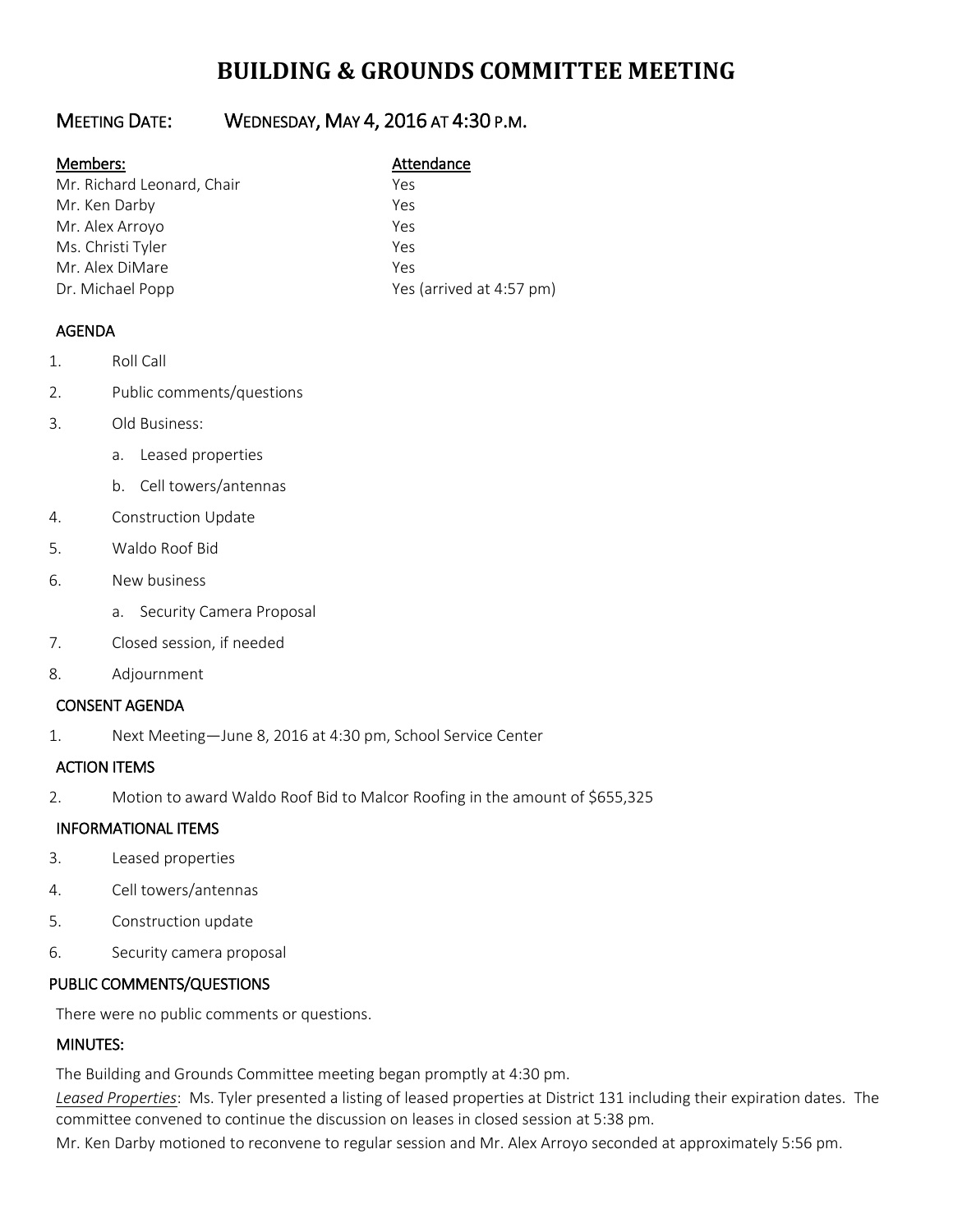# **BUILDING & GROUNDS COMMITTEE MEETING**

## MEETING DATE: WEDNESDAY, MAY 4, 2016 AT 4:30 P.M.

#### Members: Manual Members: Attendance

| Mr. Richard Leonard, Chair | Yes                      |
|----------------------------|--------------------------|
| Mr. Ken Darby              | Yes                      |
| Mr. Alex Arroyo            | Yes                      |
| Ms. Christi Tyler          | Yρς                      |
| Mr. Alex DiMare            | Yes                      |
| Dr. Michael Popp           | Yes (arrived at 4:57 pm) |

### AGENDA

- 1. Roll Call
- 2. Public comments/questions
- 3. Old Business:
	- a. Leased properties
	- b. Cell towers/antennas
- 4. Construction Update
- 5. Waldo Roof Bid
- 6. New business
	- a. Security Camera Proposal
- 7. Closed session, if needed
- 8. Adjournment

### CONSENT AGENDA

1. Next Meeting—June 8, 2016 at 4:30 pm, School Service Center

#### ACTION ITEMS

2. Motion to award Waldo Roof Bid to Malcor Roofing in the amount of \$655,325

#### INFORMATIONAL ITEMS

- 3. Leased properties
- 4. Cell towers/antennas
- 5. Construction update
- 6. Security camera proposal

### PUBLIC COMMENTS/QUESTIONS

There were no public comments or questions.

### MINUTES:

The Building and Grounds Committee meeting began promptly at 4:30 pm.

*Leased Properties*: Ms. Tyler presented a listing of leased properties at District 131 including their expiration dates. The committee convened to continue the discussion on leases in closed session at 5:38 pm.

Mr. Ken Darby motioned to reconvene to regular session and Mr. Alex Arroyo seconded at approximately 5:56 pm.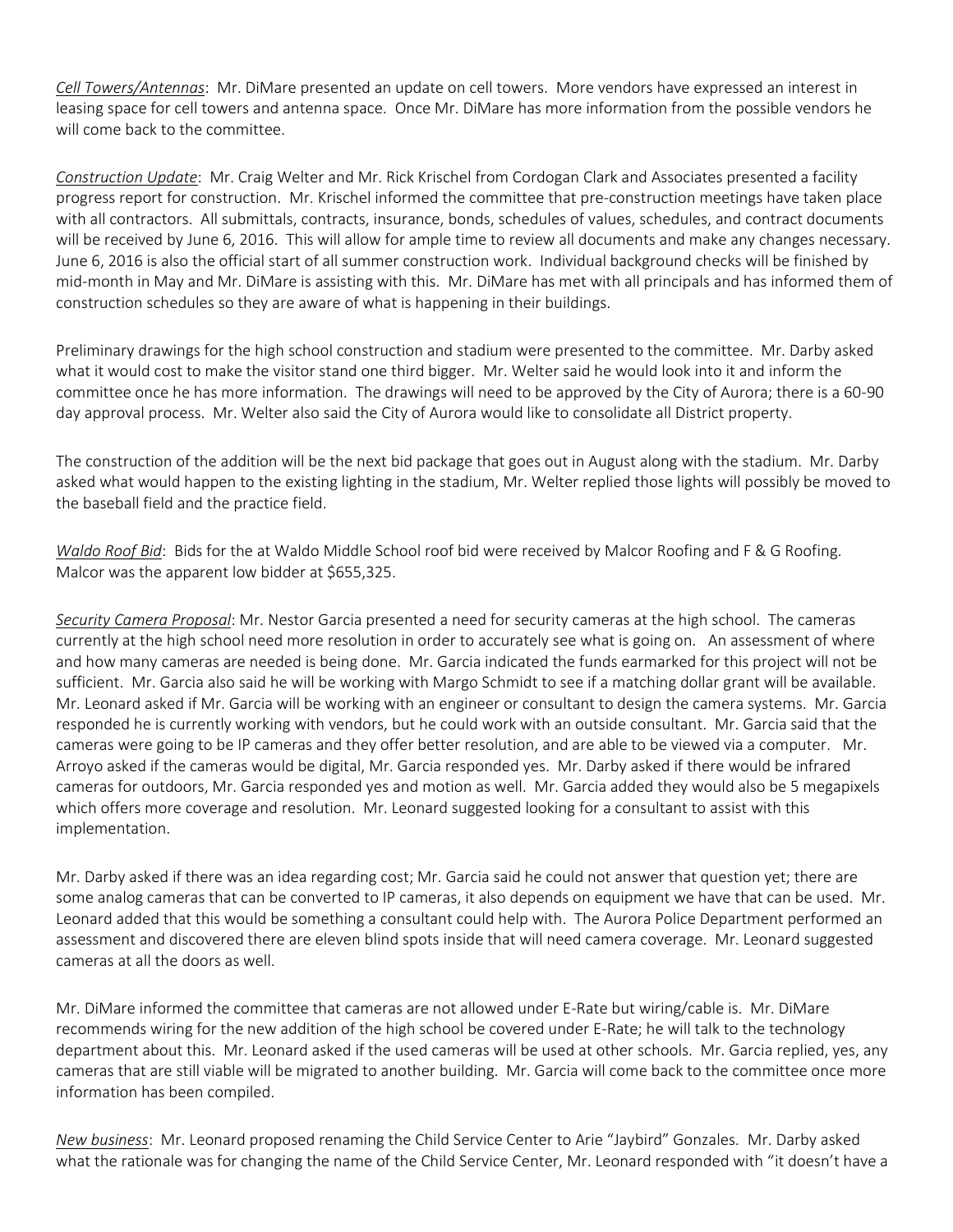*Cell Towers/Antennas*: Mr. DiMare presented an update on cell towers. More vendors have expressed an interest in leasing space for cell towers and antenna space. Once Mr. DiMare has more information from the possible vendors he will come back to the committee.

*Construction Update*: Mr. Craig Welter and Mr. Rick Krischel from Cordogan Clark and Associates presented a facility progress report for construction. Mr. Krischel informed the committee that pre-construction meetings have taken place with all contractors. All submittals, contracts, insurance, bonds, schedules of values, schedules, and contract documents will be received by June 6, 2016. This will allow for ample time to review all documents and make any changes necessary. June 6, 2016 is also the official start of all summer construction work. Individual background checks will be finished by mid-month in May and Mr. DiMare is assisting with this. Mr. DiMare has met with all principals and has informed them of construction schedules so they are aware of what is happening in their buildings.

Preliminary drawings for the high school construction and stadium were presented to the committee. Mr. Darby asked what it would cost to make the visitor stand one third bigger. Mr. Welter said he would look into it and inform the committee once he has more information. The drawings will need to be approved by the City of Aurora; there is a 60-90 day approval process. Mr. Welter also said the City of Aurora would like to consolidate all District property.

The construction of the addition will be the next bid package that goes out in August along with the stadium. Mr. Darby asked what would happen to the existing lighting in the stadium, Mr. Welter replied those lights will possibly be moved to the baseball field and the practice field.

*Waldo Roof Bid*: Bids for the at Waldo Middle School roof bid were received by Malcor Roofing and F & G Roofing. Malcor was the apparent low bidder at \$655,325.

*Security Camera Proposal*: Mr. Nestor Garcia presented a need for security cameras at the high school. The cameras currently at the high school need more resolution in order to accurately see what is going on. An assessment of where and how many cameras are needed is being done. Mr. Garcia indicated the funds earmarked for this project will not be sufficient. Mr. Garcia also said he will be working with Margo Schmidt to see if a matching dollar grant will be available. Mr. Leonard asked if Mr. Garcia will be working with an engineer or consultant to design the camera systems. Mr. Garcia responded he is currently working with vendors, but he could work with an outside consultant. Mr. Garcia said that the cameras were going to be IP cameras and they offer better resolution, and are able to be viewed via a computer. Mr. Arroyo asked if the cameras would be digital, Mr. Garcia responded yes. Mr. Darby asked if there would be infrared cameras for outdoors, Mr. Garcia responded yes and motion as well. Mr. Garcia added they would also be 5 megapixels which offers more coverage and resolution. Mr. Leonard suggested looking for a consultant to assist with this implementation.

Mr. Darby asked if there was an idea regarding cost; Mr. Garcia said he could not answer that question yet; there are some analog cameras that can be converted to IP cameras, it also depends on equipment we have that can be used. Mr. Leonard added that this would be something a consultant could help with. The Aurora Police Department performed an assessment and discovered there are eleven blind spots inside that will need camera coverage. Mr. Leonard suggested cameras at all the doors as well.

Mr. DiMare informed the committee that cameras are not allowed under E-Rate but wiring/cable is. Mr. DiMare recommends wiring for the new addition of the high school be covered under E-Rate; he will talk to the technology department about this. Mr. Leonard asked if the used cameras will be used at other schools. Mr. Garcia replied, yes, any cameras that are still viable will be migrated to another building. Mr. Garcia will come back to the committee once more information has been compiled.

*New business*: Mr. Leonard proposed renaming the Child Service Center to Arie "Jaybird" Gonzales. Mr. Darby asked what the rationale was for changing the name of the Child Service Center, Mr. Leonard responded with "it doesn't have a